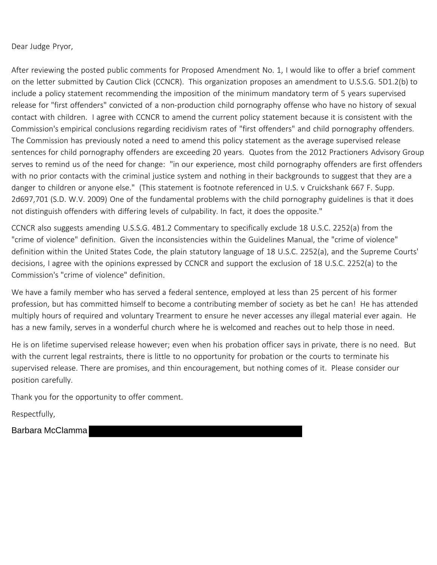Dear Judge Pryor,

After reviewing the posted public comments for Proposed Amendment No. 1, I would like to offer a brief comment on the letter submitted by Caution Click (CCNCR). This organization proposes an amendment to U.S.S.G. 5D1.2(b) to include a policy statement recommending the imposition of the minimum mandatory term of 5 years supervised release for "first offenders" convicted of a non-production child pornography offense who have no history of sexual contact with children. I agree with CCNCR to amend the current policy statement because it is consistent with the Commission's empirical conclusions regarding recidivism rates of "first offenders" and child pornography offenders. The Commission has previously noted a need to amend this policy statement as the average supervised release sentences for child pornography offenders are exceeding 20 years. Quotes from the 2012 Practioners Advisory Group serves to remind us of the need for change: "in our experience, most child pornography offenders are first offenders with no prior contacts with the criminal justice system and nothing in their backgrounds to suggest that they are a danger to children or anyone else." (This statement is footnote referenced in U.S. v Cruickshank 667 F. Supp. 2d697,701 (S.D. W.V. 2009) One of the fundamental problems with the child pornography guidelines is that it does not distinguish offenders with differing levels of culpability. In fact, it does the opposite."

CCNCR also suggests amending U.S.S.G. 4B1.2 Commentary to specifically exclude 18 U.S.C. 2252(a) from the "crime of violence" definition. Given the inconsistencies within the Guidelines Manual, the "crime of violence" definition within the United States Code, the plain statutory language of 18 U.S.C. 2252(a), and the Supreme Courts' decisions, I agree with the opinions expressed by CCNCR and support the exclusion of 18 U.S.C. 2252(a) to the Commission's "crime of violence" definition.

We have a family member who has served a federal sentence, employed at less than 25 percent of his former profession, but has committed himself to become a contributing member of society as bet he can! He has attended multiply hours of required and voluntary Trearment to ensure he never accesses any illegal material ever again. He has a new family, serves in a wonderful church where he is welcomed and reaches out to help those in need.

He is on lifetime supervised release however; even when his probation officer says in private, there is no need. But with the current legal restraints, there is little to no opportunity for probation or the courts to terminate his supervised release. There are promises, and thin encouragement, but nothing comes of it. Please consider our position carefully.

Thank you for the opportunity to offer comment.

Respectfully,

Barbara McClamma